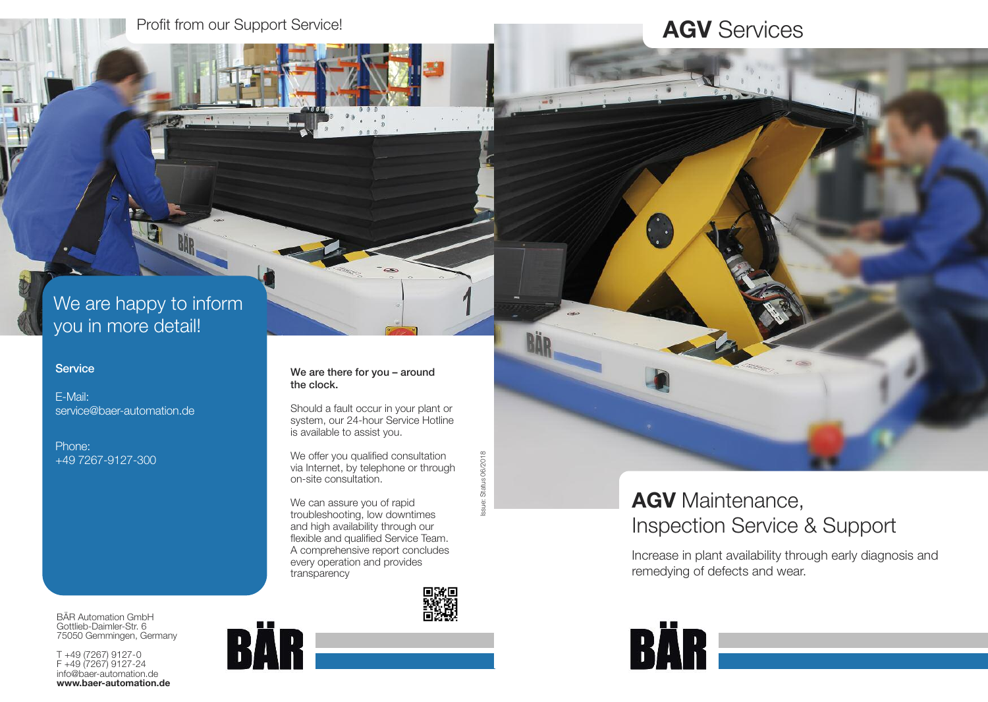# **AGV** Services

### We are happy to inform you in more detail!

### **Service**

E-Mail: service@baer-automation.de

Phone: +49 7267-9127-300 We are there for you – around the clock.

Should a fault occur in your plant or system, our 24-hour Service Hotline is available to assist you.

We offer you qualified consultation via Internet, by telephone or through on-site consultation.

We can assure you of rapid troubleshooting, low downtimes and high availability through our flexible and qualified Service Team. A comprehensive report concludes every operation and provides transparency



Issue: Status 06/2018

sue:

Status 06/2018

## **AGV** Maintenance, Inspection Service & Support

Increase in plant availability through early diagnosis and remedying of defects and wear.



BÄR Automation GmbH Gottlieb-Daimler-Str. 6 75050 Gemmingen, Germany

T +49 (7267) 9127-0 F +49 (7267) 9127-24 info@baer-automation.de **www.baer-automation.de**